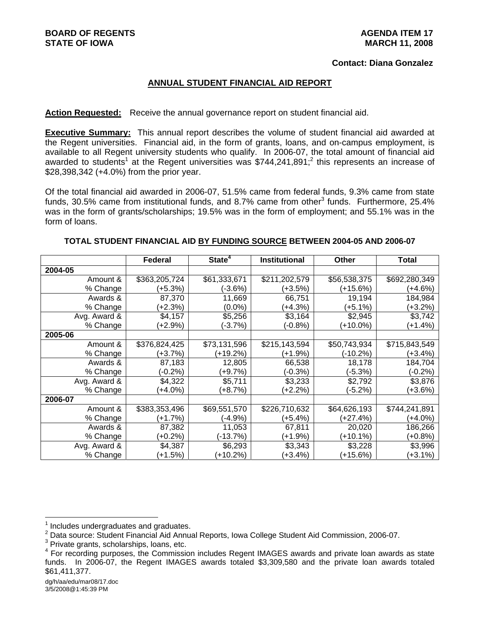#### **Contact: Diana Gonzalez**

#### **ANNUAL STUDENT FINANCIAL AID REPORT**

#### **Action Requested:** Receive the annual governance report on student financial aid.

**Executive Summary:** This annual report describes the volume of student financial aid awarded at the Regent universities. Financial aid, in the form of grants, loans, and on-campus employment, is available to all Regent university students who qualify. In 2006-07, the total amount of financial aid awarded to students<sup>1</sup> at the Regent universities was \$744,241,891;<sup>2</sup> this represents an increase of \$28,398,342 (+4.0%) from the prior year.

Of the total financial aid awarded in 2006-07, 51.5% came from federal funds, 9.3% came from state funds, 30.5% came from institutional funds, and 8.7% came from other<sup>3</sup> funds. Furthermore, 25.4% was in the form of grants/scholarships; 19.5% was in the form of employment; and 55.1% was in the form of loans.

|              | <b>Federal</b> | State <sup>4</sup> | <b>Institutional</b> | <b>Other</b> | Total         |
|--------------|----------------|--------------------|----------------------|--------------|---------------|
| 2004-05      |                |                    |                      |              |               |
| Amount &     | \$363,205,724  | \$61,333,671       | \$211,202,579        | \$56,538,375 | \$692,280,349 |
| % Change     | (+5.3%)        | (-3.6%)            | (+3.5%)              | (+15.6%)     | (+4.6%)       |
| Awards &     | 87,370         | 11,669             | 66,751               | 19,194       | 184,984       |
| % Change     | (+2.3%)        | $(0.0\%)$          | (+4.3%)              | (+5.1%)      | (+3.2%)       |
| Avg. Award & | \$4,157        | \$5,256            | \$3,164              | \$2,945      | \$3,742       |
| % Change     | $(+2.9\%)$     | $(-3.7%)$          | $(-0.8%)$            | $(+10.0\%)$  | $(+1.4%)$     |
| 2005-06      |                |                    |                      |              |               |
| Amount &     | \$376,824,425  | \$73,131,596       | \$215,143,594        | \$50,743,934 | \$715,843,549 |
| % Change     | (+3.7%)        | (+19.2%)           | (+1.9%)              | (-10.2%)     | (+3.4%)       |
| Awards &     | 87,183         | 12,805             | 66,538               | 18,178       | 184,704       |
| % Change     | $(-0.2\%)$     | (+9.7%)            | (-0.3%)              | (-5.3%)      | $(-0.2\%)$    |
| Avg. Award & | \$4,322        | \$5,711            | \$3,233              | \$2,792      | \$3,876       |
| % Change     | $(+4.0\%)$     | $(+8.7%)$          | (+2.2%)              | $(-5.2%)$    | (+3.6%)       |
| 2006-07      |                |                    |                      |              |               |
| Amount &     | \$383,353,496  | \$69,551,570       | \$226,710,632        | \$64,626,193 | \$744,241,891 |
| % Change     | $(+1.7%)$      | $(-4.9%)$          | $(+5.4%)$            | $(+27.4%)$   | $(+4.0\%)$    |
| Awards &     | 87,382         | 11,053             | 67,811               | 20,020       | 186,266       |
| % Change     | (+0.2%)        | (-13.7%)           | (+1.9%)              | (+10.1%)     | (+0.8%)       |
| Avg. Award & | \$4,387        | \$6,293            | \$3,343              | \$3,228      | \$3,996       |
| % Change     | (+1.5%)        | $(+10.2%)$         | (+3.4%)              | (+15.6%)     | (+3.1%)       |

#### **TOTAL STUDENT FINANCIAL AID BY FUNDING SOURCE BETWEEN 2004-05 AND 2006-07**

l

<sup>1</sup> Includes undergraduates and graduates.

 $^2$  Data source: Student Financial Aid Annual Reports, Iowa College Student Aid Commission, 2006-07.<br><sup>3</sup> Private grapte, scholarshine, Ioane, etc.

 $3$  Private grants, scholarships, loans, etc.

<sup>4</sup> For recording purposes, the Commission includes Regent IMAGES awards and private loan awards as state funds. In 2006-07, the Regent IMAGES awards totaled \$3,309,580 and the private loan awards totaled \$61,411,377.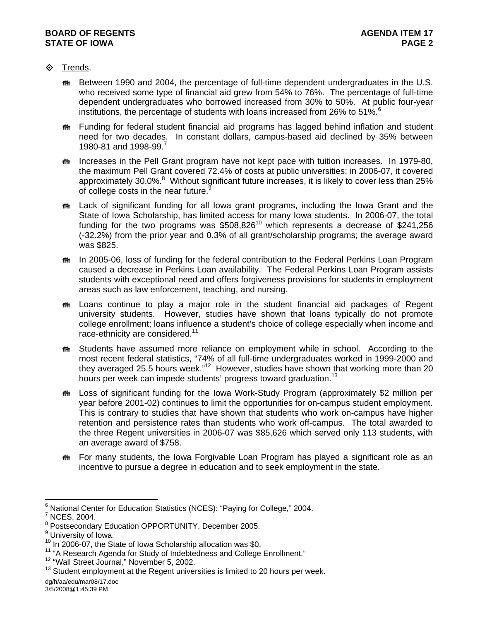# **♦** Trends.

- **\*\*** Between 1990 and 2004, the percentage of full-time dependent undergraduates in the U.S. who received some type of financial aid grew from 54% to 76%. The percentage of full-time dependent undergraduates who borrowed increased from 30% to 50%. At public four-year institutions, the percentage of students with loans increased from 26% to 51%. $6$
- **\*\*** Funding for federal student financial aid programs has lagged behind inflation and student need for two decades. In constant dollars, campus-based aid declined by 35% between 1980-81 and 1998-99.<sup>7</sup>
- **\*\*** Increases in the Pell Grant program have not kept pace with tuition increases. In 1979-80, the maximum Pell Grant covered 72.4% of costs at public universities; in 2006-07, it covered approximately 30.0%. $8$  Without significant future increases, it is likely to cover less than 25% of college costs in the near future.<sup>9</sup>
- $m$  Lack of significant funding for all lowa grant programs, including the lowa Grant and the State of Iowa Scholarship, has limited access for many Iowa students. In 2006-07, the total funding for the two programs was  $$508.826<sup>10</sup>$  which represents a decrease of \$241,256 (-32.2%) from the prior year and 0.3% of all grant/scholarship programs; the average award was \$825.
- **\*\*** In 2005-06, loss of funding for the federal contribution to the Federal Perkins Loan Program caused a decrease in Perkins Loan availability. The Federal Perkins Loan Program assists students with exceptional need and offers forgiveness provisions for students in employment areas such as law enforcement, teaching, and nursing.
- $m$  Loans continue to play a major role in the student financial aid packages of Regent university students. However, studies have shown that loans typically do not promote college enrollment; loans influence a student's choice of college especially when income and race-ethnicity are considered.<sup>11</sup>
- **# Students have assumed more reliance on employment while in school.** According to the most recent federal statistics, "74% of all full-time undergraduates worked in 1999-2000 and they averaged 25.5 hours week."<sup>12</sup> However, studies have shown that working more than 20 hours per week can impede students' progress toward graduation.<sup>13</sup>
- **\*\*** Loss of significant funding for the Iowa Work-Study Program (approximately \$2 million per year before 2001-02) continues to limit the opportunities for on-campus student employment. This is contrary to studies that have shown that students who work on-campus have higher retention and persistence rates than students who work off-campus. The total awarded to the three Regent universities in 2006-07 was \$85,626 which served only 113 students, with an average award of \$758.
- $m$  For many students, the Iowa Forgivable Loan Program has played a significant role as an incentive to pursue a degree in education and to seek employment in the state.

<sup>6&</sup>lt;br><sup>6</sup> National Center for Education Statistics (NCES): "Paying for College," 2004.

<sup>&</sup>lt;sup>7</sup> NCES, 2004.

<sup>&</sup>lt;sup>8</sup> Postsecondary Education OPPORTUNITY, December 2005.

<sup>&</sup>lt;sup>9</sup> University of Iowa.

<sup>&</sup>lt;sup>10</sup> In 2006-07, the State of Iowa Scholarship allocation was \$0.<br><sup>11</sup> "A Research Agenda for Study of Indebtedness and College Enrollment."  $12$  "Wall Street Journal," November 5, 2002.

 $13$  Student employment at the Regent universities is limited to 20 hours per week.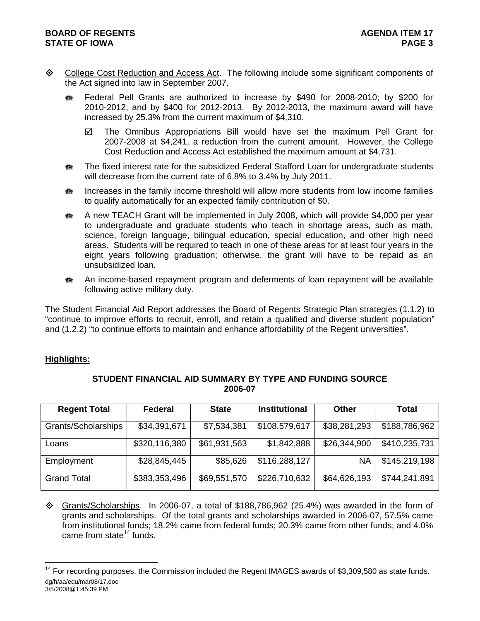- ♦ College Cost Reduction and Access Act. The following include some significant components of the Act signed into law in September 2007.
	- $m$  Federal Pell Grants are authorized to increase by \$490 for 2008-2010; by \$200 for 2010-2012; and by \$400 for 2012-2013. By 2012-2013, the maximum award will have increased by 25.3% from the current maximum of \$4,310.
		- $\boxtimes$  The Omnibus Appropriations Bill would have set the maximum Pell Grant for 2007-2008 at \$4,241, a reduction from the current amount. However, the College Cost Reduction and Access Act established the maximum amount at \$4,731.
	- $m$  The fixed interest rate for the subsidized Federal Stafford Loan for undergraduate students will decrease from the current rate of 6.8% to 3.4% by July 2011.
	- $\bf{m}$  Increases in the family income threshold will allow more students from low income families to qualify automatically for an expected family contribution of \$0.
	- $\ddot{\mathbf{m}}$  A new TEACH Grant will be implemented in July 2008, which will provide \$4,000 per year to undergraduate and graduate students who teach in shortage areas, such as math, science, foreign language, bilingual education, special education, and other high need areas. Students will be required to teach in one of these areas for at least four years in the eight years following graduation; otherwise, the grant will have to be repaid as an unsubsidized loan.
	- **##** An income-based repayment program and deferments of loan repayment will be available following active military duty.

The Student Financial Aid Report addresses the Board of Regents Strategic Plan strategies (1.1.2) to "continue to improve efforts to recruit, enroll, and retain a qualified and diverse student population" and (1.2.2) "to continue efforts to maintain and enhance affordability of the Regent universities".

## **Highlights:**

l

| <b>Regent Total</b> | Federal       | <b>State</b> | <b>Institutional</b> | <b>Other</b> | Total         |
|---------------------|---------------|--------------|----------------------|--------------|---------------|
| Grants/Scholarships | \$34,391,671  | \$7,534,381  | \$108,579,617        | \$38,281,293 | \$188,786,962 |
| Loans               | \$320,116,380 | \$61,931,563 | \$1,842,888          | \$26,344,900 | \$410,235,731 |
| Employment          | \$28,845,445  | \$85,626     | \$116,288,127        | <b>NA</b>    | \$145,219,198 |
| <b>Grand Total</b>  | \$383,353,496 | \$69,551,570 | \$226,710,632        | \$64,626,193 | \$744,241,891 |

## **STUDENT FINANCIAL AID SUMMARY BY TYPE AND FUNDING SOURCE 2006-07**

 $\diamond$  Grants/Scholarships. In 2006-07, a total of \$188,786,962 (25.4%) was awarded in the form of grants and scholarships. Of the total grants and scholarships awarded in 2006-07, 57.5% came from institutional funds; 18.2% came from federal funds; 20.3% came from other funds; and 4.0% came from state $14$  funds.

dg/h/aa/edu/mar08/17.doc 3/5/2008@1:45:39 PM  $14$  For recording purposes, the Commission included the Regent IMAGES awards of \$3,309,580 as state funds.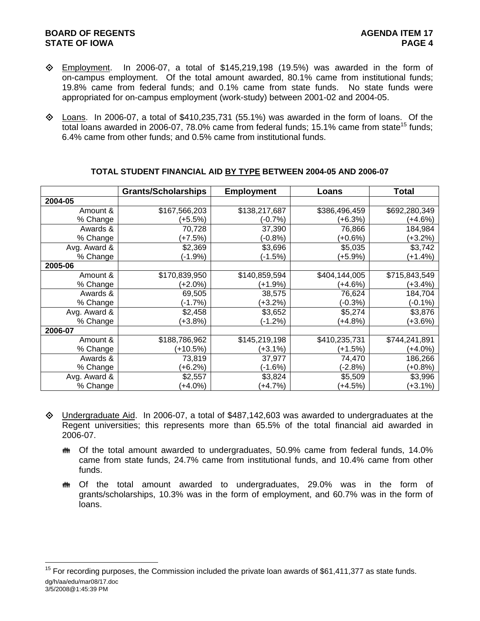## **BOARD OF REGENTS AGENER AGENERAL LIMIT CONTROL STATE OF IOWA** PAGE 4

- $\diamond$  Employment. In 2006-07, a total of \$145,219,198 (19.5%) was awarded in the form of on-campus employment. Of the total amount awarded, 80.1% came from institutional funds; 19.8% came from federal funds; and 0.1% came from state funds. No state funds were appropriated for on-campus employment (work-study) between 2001-02 and 2004-05.
- $\diamond$  Loans. In 2006-07, a total of \$410,235,731 (55.1%) was awarded in the form of loans. Of the total loans awarded in 2006-07, 78.0% came from federal funds; 15.1% came from state<sup>15</sup> funds; 6.4% came from other funds; and 0.5% came from institutional funds.

|              | <b>Grants/Scholarships</b> | <b>Employment</b> | Loans         | <b>Total</b>  |
|--------------|----------------------------|-------------------|---------------|---------------|
| 2004-05      |                            |                   |               |               |
| Amount &     | \$167,566,203              | \$138,217,687     | \$386,496,459 | \$692,280,349 |
| % Change     | (+5.5%)                    | (-0.7%)           | (+6.3%)       | (+4.6%)       |
| Awards &     | 70,728                     | 37,390            | 76,866        | 184,984       |
| % Change     | (+7.5%)                    | $(-0.8%)$         | (+0.6%)       | $(+3.2%)$     |
| Avg. Award & | \$2,369                    | \$3,696           | \$5,035       | \$3,742       |
| % Change     | $(-1.9%)$                  | (-1.5%)           | (+5.9%)       | $(+1.4%)$     |
| 2005-06      |                            |                   |               |               |
| Amount &     | \$170,839,950              | \$140,859,594     | \$404,144,005 | \$715,843,549 |
| % Change     | (+2.0%)                    | $(+1.9%)$         | (+4.6%)       | $(+3.4\%)$    |
| Awards &     | 69,505                     | 38,575            | 76,624        | 184,704       |
| % Change     | (-1.7%)                    | $(+3.2%)$         | $(-0.3%)$     | $(-0.1\%)$    |
| Avg. Award & | \$2,458                    | \$3,652           | \$5,274       | \$3,876       |
| % Change     | $(+3.8%)$                  | $(-1.2%)$         | $(+4.8%)$     | $(+3.6%)$     |
| 2006-07      |                            |                   |               |               |
| Amount &     | \$188,786,962              | \$145,219,198     | \$410,235,731 | \$744,241,891 |
| % Change     | $(+10.5%)$                 | (+3.1%)           | (+1.5%)       | (+4.0%)       |
| Awards &     | 73,819                     | 37,977            | 74,470        | 186,266       |
| % Change     | (+6.2%)                    | (-1.6%)           | (-2.8%)       | (+0.8%)       |
| Avg. Award & | \$2,557                    | \$3,824           | \$5,509       | \$3,996       |
| % Change     | $(+4.0%)$                  | $(+4.7%)$         | (+4.5%)       | $(+3.1\%)$    |

## **TOTAL STUDENT FINANCIAL AID BY TYPE BETWEEN 2004-05 AND 2006-07**

- Undergraduate Aid. In 2006-07, a total of \$487,142,603 was awarded to undergraduates at the Regent universities; this represents more than 65.5% of the total financial aid awarded in 2006-07.
	- $m$  Of the total amount awarded to undergraduates, 50.9% came from federal funds, 14.0% came from state funds, 24.7% came from institutional funds, and 10.4% came from other funds.
	- $m$  Of the total amount awarded to undergraduates, 29.0% was in the form of grants/scholarships, 10.3% was in the form of employment, and 60.7% was in the form of loans.

dg/h/aa/edu/mar08/17.doc 3/5/2008@1:45:39 PM l  $15$  For recording purposes, the Commission included the private loan awards of \$61,411,377 as state funds.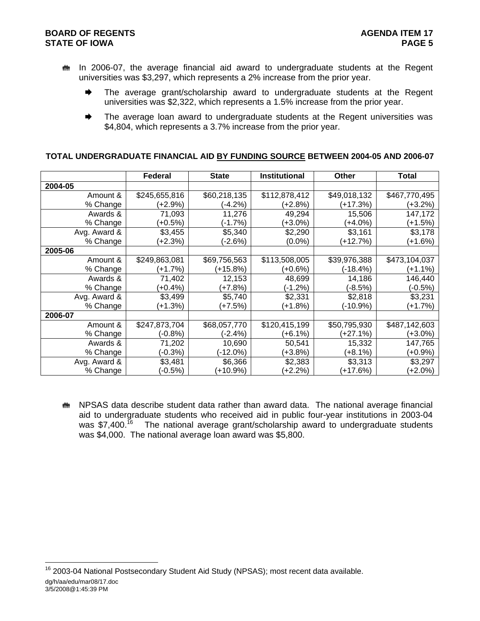## **BOARD OF REGENTS AGENER AGENER AGENER 17 STATE OF IOWA** PAGE 5

- $m$  In 2006-07, the average financial aid award to undergraduate students at the Regent universities was \$3,297, which represents a 2% increase from the prior year.
	- $\rightarrow$  The average grant/scholarship award to undergraduate students at the Regent universities was \$2,322, which represents a 1.5% increase from the prior year.
	- $\rightarrow$  The average loan award to undergraduate students at the Regent universities was \$4,804, which represents a 3.7% increase from the prior year.

#### **TOTAL UNDERGRADUATE FINANCIAL AID BY FUNDING SOURCE BETWEEN 2004-05 AND 2006-07**

|              | <b>Federal</b> | <b>State</b> | <b>Institutional</b> | <b>Other</b> | <b>Total</b>  |
|--------------|----------------|--------------|----------------------|--------------|---------------|
| 2004-05      |                |              |                      |              |               |
| Amount &     | \$245,655,816  | \$60,218,135 | \$112,878,412        | \$49,018,132 | \$467,770,495 |
| % Change     | (+2.9%)        | $(-4.2%)$    | (+2.8%)              | (+17.3%)     | (+3.2%)       |
| Awards &     | 71,093         | 11,276       | 49,294               | 15,506       | 147,172       |
| % Change     | $(+0.5%)$      | $(-1.7%)$    | $(+3.0\%)$           | (+4.0%)      | $(+1.5%)$     |
| Avg. Award & | \$3,455        | \$5,340      | \$2,290              | \$3,161      | \$3,178       |
| % Change     | (+2.3%)        | $-2.6\%)$    | $(0.0\%)$            | (+12.7%)     | (+1.6%)       |
| 2005-06      |                |              |                      |              |               |
| Amount &     | \$249,863,081  | \$69,756,563 | \$113,508,005        | \$39,976,388 | \$473,104,037 |
| % Change     | $(+1.7%)$      | $(+15.8%)$   | $(+0.6%)$            | $(-18.4%)$   | (+1.1%)       |
| Awards &     | 71,402         | 12,153       | 48,699               | 14,186       | 146,440       |
| % Change     | (+0.4%)        | (+7.8%)      | (-1.2%)              | (-8.5%)      | (-0.5%)       |
| Avg. Award & | \$3,499        | \$5,740      | \$2,331              | \$2,818      | \$3,231       |
| % Change     | (+1.3%)        | (+7.5%)      | $(+1.8%)$            | (-10.9%)     | (+1.7%)       |
| 2006-07      |                |              |                      |              |               |
| Amount &     | \$247,873,704  | \$68,057,770 | \$120,415,199        | \$50,795,930 | \$487,142,603 |
| % Change     | $(-0.8%)$      | $(-2.4%)$    | $(+6.1%)$            | $(+27.1%)$   | $(+3.0\%)$    |
| Awards &     | 71,202         | 10,690       | 50,541               | 15,332       | 147,765       |
| % Change     | $(-0.3%)$      | (-12.0%)     | (+3.8%)              | (+8.1%)      | $(+0.9\%)$    |
| Avg. Award & | \$3,481        | \$6,366      | \$2,383              | \$3,313      | \$3,297       |
| % Change     | $(-0.5%)$      | (+10.9%)     | (+2.2%)              | (+17.6%)     | (+2.0%)       |

**\*\*** NPSAS data describe student data rather than award data. The national average financial aid to undergraduate students who received aid in public four-year institutions in 2003-04 was  $$7,400<sup>16</sup>$  The national average grant/scholarship award to undergraduate students was \$4,000. The national average loan award was \$5,800.

dg/h/aa/edu/mar08/17.doc 3/5/2008@1:45:39 PM l <sup>16</sup> 2003-04 National Postsecondary Student Aid Study (NPSAS); most recent data available.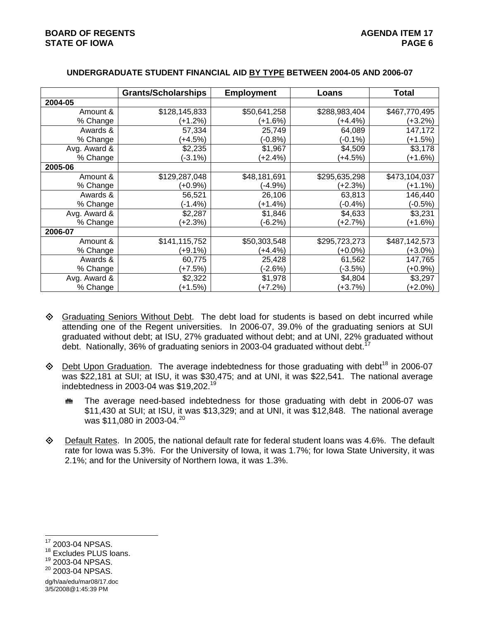|              | <b>Grants/Scholarships</b> | <b>Employment</b> | Loans         | Total         |
|--------------|----------------------------|-------------------|---------------|---------------|
| 2004-05      |                            |                   |               |               |
| Amount &     | \$128,145,833              | \$50,641,258      | \$288,983,404 | \$467,770,495 |
| % Change     | (+1.2%)                    | (+1.6%)           | (+4.4%)       | $(+3.2\%)$    |
| Awards &     | 57,334                     | 25,749            | 64,089        | 147,172       |
| % Change     | $(+4.5%)$                  | $(-0.8%)$         | $(-0.1\%)$    | $(+1.5%)$     |
| Avg. Award & | \$2,235                    | \$1,967           | \$4,509       | \$3,178       |
| % Change     | $(-3.1\%)$                 | $(+2.4%)$         | (+4.5%)       | $(+1.6%)$     |
| 2005-06      |                            |                   |               |               |
| Amount &     | \$129,287,048              | \$48,181,691      | \$295,635,298 | \$473,104,037 |
| % Change     | $(+0.9\%)$                 | $(-4.9\%)$        | (+2.3%)       | $(+1.1\%)$    |
| Awards &     | 56,521                     | 26,106            | 63,813        | 146,440       |
| % Change     | (-1.4%)                    | $(+1.4%)$         | $(-0.4%)$     | $(-0.5%)$     |
| Avg. Award & | \$2,287                    | \$1,846           | \$4,633       | \$3,231       |
| % Change     | $(+2.3%)$                  | $(-6.2%)$         | (+2.7%)       | $(+1.6%)$     |
| 2006-07      |                            |                   |               |               |
| Amount &     | \$141,115,752              | \$50,303,548      | \$295,723,273 | \$487,142,573 |
| % Change     | $(+9.1\%)$                 | $(+4.4%)$         | $(+0.0\%)$    | $(+3.0\%)$    |
| Awards &     | 60,775                     | 25,428            | 61,562        | 147,765       |
| % Change     | $(+7.5%)$                  | $(-2.6%)$         | $(-3.5%)$     | $(+0.9\%)$    |
| Avg. Award & | \$2,322                    | \$1,978           | \$4,804       | \$3,297       |
| % Change     | $(+1.5%)$                  | $(+7.2%)$         | (+3.7%)       | $(+2.0\%)$    |

## **UNDERGRADUATE STUDENT FINANCIAL AID BY TYPE BETWEEN 2004-05 AND 2006-07**

- ♦ Graduating Seniors Without Debt. The debt load for students is based on debt incurred while attending one of the Regent universities. In 2006-07, 39.0% of the graduating seniors at SUI graduated without debt; at ISU, 27% graduated without debt; and at UNI, 22% graduated without debt. Nationally, 36% of graduating seniors in 2003-04 graduated without debt.
- $\textcircled{}$  Debt Upon Graduation. The average indebtedness for those graduating with debt<sup>18</sup> in 2006-07 was \$22,181 at SUI; at ISU, it was \$30,475; and at UNI, it was \$22,541. The national average indebtedness in 2003-04 was \$19,202.<sup>19</sup>
	- $m$  The average need-based indebtedness for those graduating with debt in 2006-07 was \$11,430 at SUI; at ISU, it was \$13,329; and at UNI, it was \$12,848. The national average was \$11,080 in 2003-04.<sup>20</sup>
- $\diamond$  Default Rates. In 2005, the national default rate for federal student loans was 4.6%. The default rate for Iowa was 5.3%. For the University of Iowa, it was 1.7%; for Iowa State University, it was 2.1%; and for the University of Northern Iowa, it was 1.3%.

dg/h/aa/edu/mar08/17.doc 3/5/2008@1:45:39 PM

l 17 2003-04 NPSAS.

<sup>&</sup>lt;sup>18</sup> Excludes PLUS loans.

<sup>19 2003-04</sup> NPSAS.

<sup>&</sup>lt;sup>20</sup> 2003-04 NPSAS.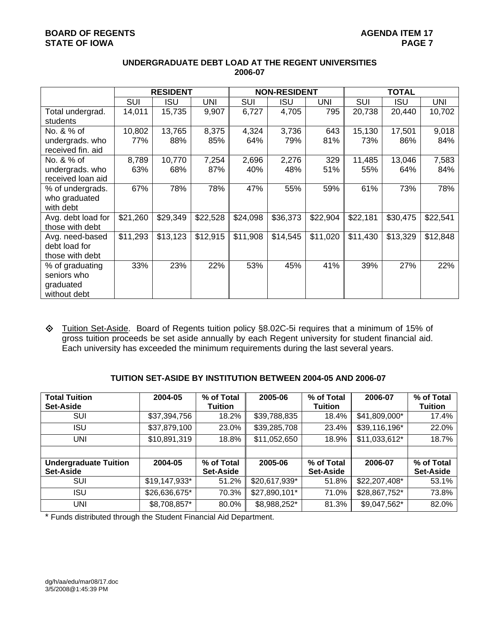## **BOARD OF REGENTS AGENERY AGENER AGENER AGENER AGENER AGENER AGENER AGENER AGENER AGENER AGENER AGENER AGENER AGENER AGENER AGENER AGENER AGENER AGENER AGENER AGENER AGENER AGENER AGENER AGENER AGENER AGENER AGENER AGENE STATE OF IOWA** PAGE 7

|                    | <b>RESIDENT</b> |          |          | <b>NON-RESIDENT</b> |            |            | <b>TOTAL</b> |            |            |
|--------------------|-----------------|----------|----------|---------------------|------------|------------|--------------|------------|------------|
|                    | <b>SUI</b>      | ISU      | UNI      | SUI                 | <b>ISU</b> | <b>UNI</b> | SUI          | <b>ISU</b> | <b>UNI</b> |
| Total undergrad.   | 14,011          | 15,735   | 9,907    | 6,727               | 4,705      | 795        | 20,738       | 20,440     | 10,702     |
| students           |                 |          |          |                     |            |            |              |            |            |
| No. & % of         | 10,802          | 13,765   | 8,375    | 4,324               | 3,736      | 643        | 15,130       | 17,501     | 9,018      |
| undergrads. who    | 77%             | 88%      | 85%      | 64%                 | 79%        | 81%        | 73%          | 86%        | 84%        |
| received fin. aid  |                 |          |          |                     |            |            |              |            |            |
| No. & % of         | 8,789           | 10,770   | 7,254    | 2,696               | 2,276      | 329        | 11,485       | 13,046     | 7,583      |
| undergrads. who    | 63%             | 68%      | 87%      | 40%                 | 48%        | 51%        | 55%          | 64%        | 84%        |
| received loan aid  |                 |          |          |                     |            |            |              |            |            |
| % of undergrads.   | 67%             | 78%      | 78%      | 47%                 | 55%        | 59%        | 61%          | 73%        | 78%        |
| who graduated      |                 |          |          |                     |            |            |              |            |            |
| with debt          |                 |          |          |                     |            |            |              |            |            |
| Avg. debt load for | \$21,260        | \$29,349 | \$22,528 | \$24,098            | \$36,373   | \$22,904   | \$22,181     | \$30,475   | \$22,541   |
| those with debt    |                 |          |          |                     |            |            |              |            |            |
| Avg. need-based    | \$11,293        | \$13,123 | \$12,915 | \$11,908            | \$14,545   | \$11,020   | \$11,430     | \$13,329   | \$12,848   |
| debt load for      |                 |          |          |                     |            |            |              |            |            |
| those with debt    |                 |          |          |                     |            |            |              |            |            |
| % of graduating    | 33%             | 23%      | 22%      | 53%                 | 45%        | 41%        | 39%          | 27%        | 22%        |
| seniors who        |                 |          |          |                     |            |            |              |            |            |
| graduated          |                 |          |          |                     |            |            |              |            |            |
| without debt       |                 |          |          |                     |            |            |              |            |            |

## **UNDERGRADUATE DEBT LOAD AT THE REGENT UNIVERSITIES 2006-07**

 Tuition Set-Aside. Board of Regents tuition policy §8.02C-5i requires that a minimum of 15% of gross tuition proceeds be set aside annually by each Regent university for student financial aid. Each university has exceeded the minimum requirements during the last several years.

## **TUITION SET-ASIDE BY INSTITUTION BETWEEN 2004-05 AND 2006-07**

| <b>Total Tuition</b><br><b>Set-Aside</b>  | 2004-05       | % of Total<br><b>Tuition</b> | 2005-06       | % of Total<br><b>Tuition</b>   | 2006-07       | % of Total<br><b>Tuition</b>   |
|-------------------------------------------|---------------|------------------------------|---------------|--------------------------------|---------------|--------------------------------|
| SUI                                       | \$37,394,756  | 18.2%                        | \$39,788,835  | 18.4%                          | \$41,809,000* | 17.4%                          |
| ISU                                       | \$37,879,100  | 23.0%                        | \$39,285,708  | 23.4%                          | \$39,116,196* | 22.0%                          |
| UNI                                       | \$10,891,319  | 18.8%                        | \$11,052,650  | 18.9%                          | \$11,033,612* | 18.7%                          |
|                                           |               |                              |               |                                |               |                                |
| <b>Undergraduate Tuition</b><br>Set-Aside | 2004-05       | % of Total<br>Set-Aside      | 2005-06       | % of Total<br><b>Set-Aside</b> | 2006-07       | % of Total<br><b>Set-Aside</b> |
| SUI                                       | \$19,147,933* | 51.2%                        | \$20,617,939* | 51.8%                          | \$22,207,408* | 53.1%                          |
| ISU                                       | \$26,636,675* | 70.3%                        | \$27,890,101* | 71.0%                          | \$28,867,752* | 73.8%                          |
| UNI                                       | \$8,708,857*  | 80.0%                        | \$8,988,252*  | 81.3%                          | \$9,047,562*  | 82.0%                          |

\* Funds distributed through the Student Financial Aid Department.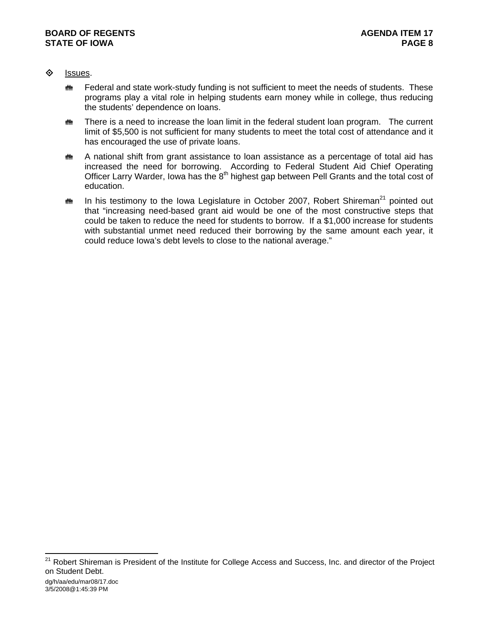- ♦ Issues.
	- $\ddot{\mathbf{m}}$  Federal and state work-study funding is not sufficient to meet the needs of students. These programs play a vital role in helping students earn money while in college, thus reducing the students' dependence on loans.
	- $m$  There is a need to increase the loan limit in the federal student loan program. The current limit of \$5,500 is not sufficient for many students to meet the total cost of attendance and it has encouraged the use of private loans.
	- $\ddot{\mathbf{m}}$  A national shift from grant assistance to loan assistance as a percentage of total aid has increased the need for borrowing. According to Federal Student Aid Chief Operating Officer Larry Warder, Iowa has the 8<sup>th</sup> highest gap between Pell Grants and the total cost of education.
	- $\bf{m}$  In his testimony to the Iowa Legislature in October 2007, Robert Shireman<sup>21</sup> pointed out that "increasing need-based grant aid would be one of the most constructive steps that could be taken to reduce the need for students to borrow. If a \$1,000 increase for students with substantial unmet need reduced their borrowing by the same amount each year, it could reduce Iowa's debt levels to close to the national average."

l

<sup>&</sup>lt;sup>21</sup> Robert Shireman is President of the Institute for College Access and Success, Inc. and director of the Project on Student Debt.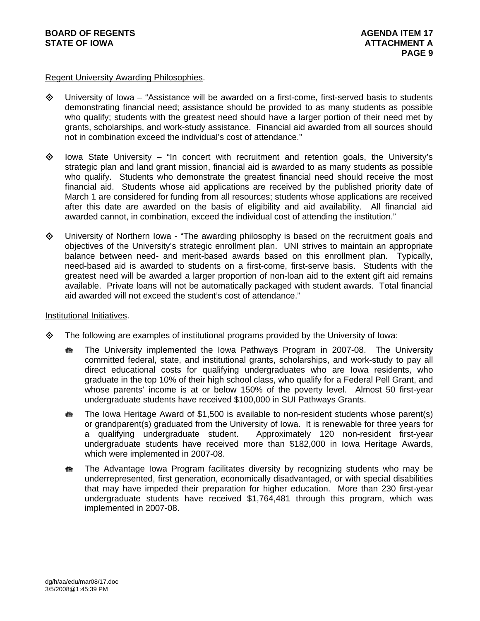## Regent University Awarding Philosophies.

- $\Diamond$  University of Iowa "Assistance will be awarded on a first-come, first-served basis to students demonstrating financial need; assistance should be provided to as many students as possible who qualify; students with the greatest need should have a larger portion of their need met by grants, scholarships, and work-study assistance. Financial aid awarded from all sources should not in combination exceed the individual's cost of attendance."
- $\diamond$  Iowa State University "In concert with recruitment and retention goals, the University's strategic plan and land grant mission, financial aid is awarded to as many students as possible who qualify. Students who demonstrate the greatest financial need should receive the most financial aid. Students whose aid applications are received by the published priority date of March 1 are considered for funding from all resources; students whose applications are received after this date are awarded on the basis of eligibility and aid availability. All financial aid awarded cannot, in combination, exceed the individual cost of attending the institution."
- University of Northern Iowa "The awarding philosophy is based on the recruitment goals and objectives of the University's strategic enrollment plan. UNI strives to maintain an appropriate balance between need- and merit-based awards based on this enrollment plan. Typically, need-based aid is awarded to students on a first-come, first-serve basis. Students with the greatest need will be awarded a larger proportion of non-loan aid to the extent gift aid remains available. Private loans will not be automatically packaged with student awards. Total financial aid awarded will not exceed the student's cost of attendance."

## Institutional Initiatives.

- $\diamond$  The following are examples of institutional programs provided by the University of Iowa:
	- $m$  The University implemented the Iowa Pathways Program in 2007-08. The University committed federal, state, and institutional grants, scholarships, and work-study to pay all direct educational costs for qualifying undergraduates who are Iowa residents, who graduate in the top 10% of their high school class, who qualify for a Federal Pell Grant, and whose parents' income is at or below 150% of the poverty level. Almost 50 first-year undergraduate students have received \$100,000 in SUI Pathways Grants.
	- $m$  The Iowa Heritage Award of \$1,500 is available to non-resident students whose parent(s) or grandparent(s) graduated from the University of Iowa. It is renewable for three years for a qualifying undergraduate student. Approximately 120 non-resident first-year undergraduate students have received more than \$182,000 in Iowa Heritage Awards, which were implemented in 2007-08.
	- $m$  The Advantage Iowa Program facilitates diversity by recognizing students who may be underrepresented, first generation, economically disadvantaged, or with special disabilities that may have impeded their preparation for higher education. More than 230 first-year undergraduate students have received \$1,764,481 through this program, which was implemented in 2007-08.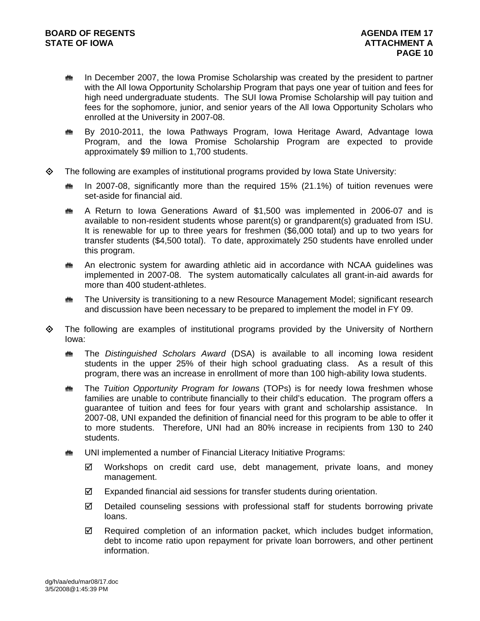- $\ddot{\mathbf{m}}$  In December 2007, the Iowa Promise Scholarship was created by the president to partner with the All Iowa Opportunity Scholarship Program that pays one year of tuition and fees for high need undergraduate students. The SUI Iowa Promise Scholarship will pay tuition and fees for the sophomore, junior, and senior years of the All Iowa Opportunity Scholars who enrolled at the University in 2007-08.
- **\*\*** By 2010-2011, the Iowa Pathways Program, Iowa Heritage Award, Advantage Iowa Program, and the Iowa Promise Scholarship Program are expected to provide approximately \$9 million to 1,700 students.
- $\diamond$  The following are examples of institutional programs provided by Iowa State University:
	- $m$  In 2007-08, significantly more than the required 15% (21.1%) of tuition revenues were set-aside for financial aid.
	- $m A$  Return to Iowa Generations Award of \$1,500 was implemented in 2006-07 and is available to non-resident students whose parent(s) or grandparent(s) graduated from ISU. It is renewable for up to three years for freshmen (\$6,000 total) and up to two years for transfer students (\$4,500 total). To date, approximately 250 students have enrolled under this program.
	- $\ddot{\mathbf{m}}$  An electronic system for awarding athletic aid in accordance with NCAA guidelines was implemented in 2007-08. The system automatically calculates all grant-in-aid awards for more than 400 student-athletes.
	- **\*\*\*** The University is transitioning to a new Resource Management Model; significant research and discussion have been necessary to be prepared to implement the model in FY 09.
- $\Leftrightarrow$  The following are examples of institutional programs provided by the University of Northern Iowa:
	- **the** *Distinguished Scholars Award* (DSA) is available to all incoming Iowa resident students in the upper 25% of their high school graduating class. As a result of this program, there was an increase in enrollment of more than 100 high-ability Iowa students.
	- **\*\*** The *Tuition Opportunity Program for Iowans* (TOPs) is for needy Iowa freshmen whose families are unable to contribute financially to their child's education. The program offers a guarantee of tuition and fees for four years with grant and scholarship assistance. In 2007-08, UNI expanded the definition of financial need for this program to be able to offer it to more students. Therefore, UNI had an 80% increase in recipients from 130 to 240 students.
	- **WE** UNI implemented a number of Financial Literacy Initiative Programs:
		- $\boxtimes$  Workshops on credit card use, debt management, private loans, and money management.
		- $\boxtimes$  Expanded financial aid sessions for transfer students during orientation.
		- $\boxtimes$  Detailed counseling sessions with professional staff for students borrowing private loans.
		- $\boxtimes$  Required completion of an information packet, which includes budget information, debt to income ratio upon repayment for private loan borrowers, and other pertinent information.